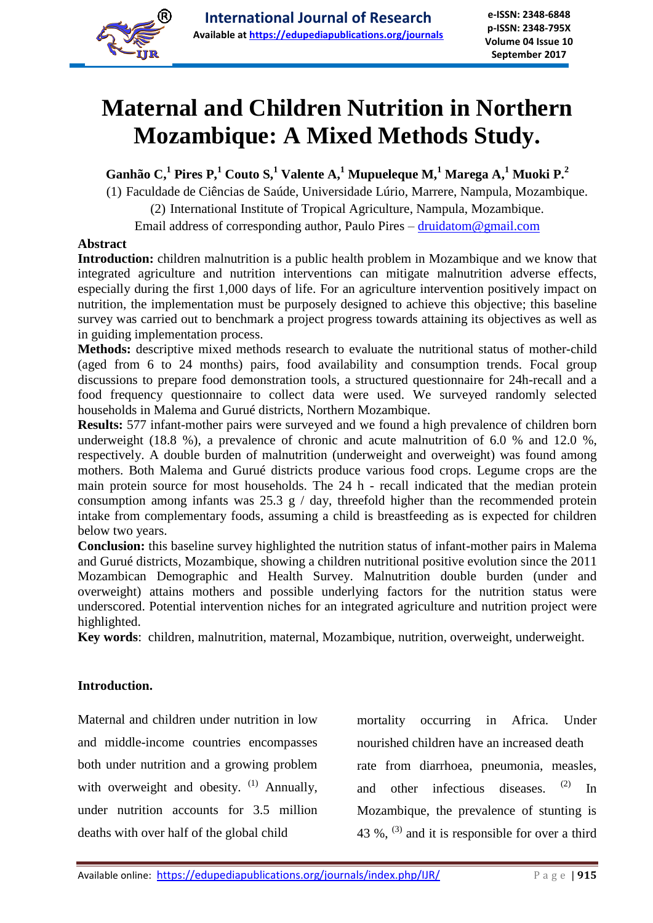

# **Maternal and Children Nutrition in Northern Mozambique: A Mixed Methods Study.**

**Ganhão C, 1 Pires P,<sup>1</sup> Couto S, <sup>1</sup> Valente A, <sup>1</sup> Mupueleque M, <sup>1</sup> Marega A, <sup>1</sup> Muoki P.<sup>2</sup>**

(1) Faculdade de Ciências de Saúde, Universidade Lúrio, Marrere, Nampula, Mozambique.

(2) International Institute of Tropical Agriculture, Nampula, Mozambique.

Email address of corresponding author, Paulo Pires – druidatom@gmail.com

# **Abstract**

**Introduction:** children malnutrition is a public health problem in Mozambique and we know that integrated agriculture and nutrition interventions can mitigate malnutrition adverse effects, especially during the first 1,000 days of life. For an agriculture intervention positively impact on nutrition, the implementation must be purposely designed to achieve this objective; this baseline survey was carried out to benchmark a project progress towards attaining its objectives as well as in guiding implementation process.

**Methods:** descriptive mixed methods research to evaluate the nutritional status of mother-child (aged from 6 to 24 months) pairs, food availability and consumption trends. Focal group discussions to prepare food demonstration tools, a structured questionnaire for 24h-recall and a food frequency questionnaire to collect data were used. We surveyed randomly selected households in Malema and Gurué districts, Northern Mozambique.

**Results:** 577 infant-mother pairs were surveyed and we found a high prevalence of children born underweight (18.8 %), a prevalence of chronic and acute malnutrition of 6.0 % and 12.0 %, respectively. A double burden of malnutrition (underweight and overweight) was found among mothers. Both Malema and Gurué districts produce various food crops. Legume crops are the main protein source for most households. The 24 h - recall indicated that the median protein consumption among infants was  $25.3$  g / day, threefold higher than the recommended protein intake from complementary foods, assuming a child is breastfeeding as is expected for children below two years.

**Conclusion:** this baseline survey highlighted the nutrition status of infant-mother pairs in Malema and Gurué districts, Mozambique, showing a children nutritional positive evolution since the 2011 Mozambican Demographic and Health Survey. Malnutrition double burden (under and overweight) attains mothers and possible underlying factors for the nutrition status were underscored. Potential intervention niches for an integrated agriculture and nutrition project were highlighted.

**Key words**: children, malnutrition, maternal, Mozambique, nutrition, overweight, underweight.

# **Introduction.**

Maternal and children under nutrition in low and middle-income countries encompasses both under nutrition and a growing problem with overweight and obesity.  $(1)$  Annually, under nutrition accounts for 3.5 million deaths with over half of the global child

mortality occurring in Africa. Under nourished children have an increased death rate from diarrhoea, pneumonia, measles, and other infectious diseases. (2) In Mozambique, the prevalence of stunting is 43 %,  $^{(3)}$  and it is responsible for over a third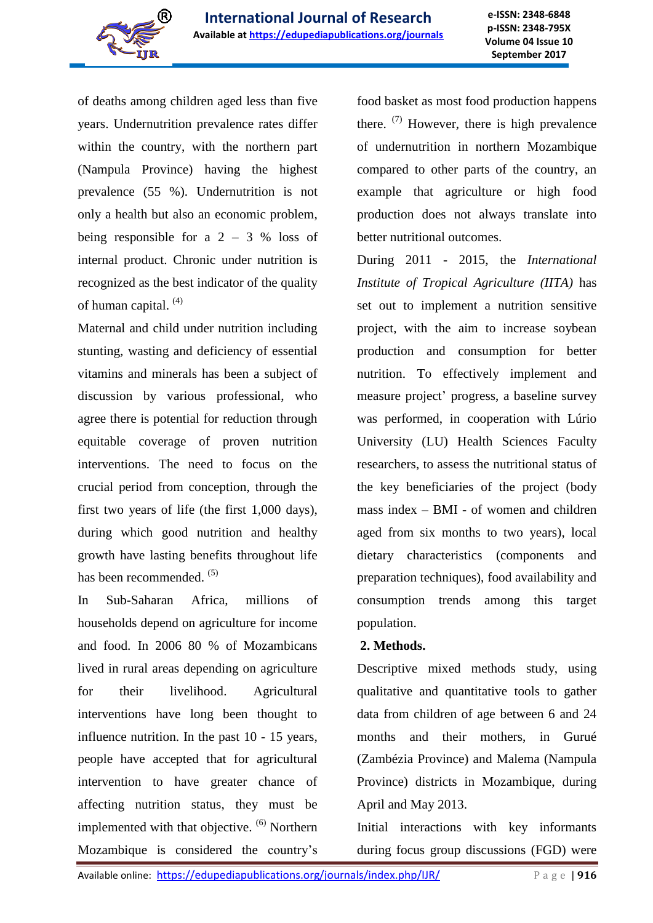

of deaths among children aged less than five years. Undernutrition prevalence rates differ within the country, with the northern part (Nampula Province) having the highest prevalence (55 %). Undernutrition is not only a health but also an economic problem, being responsible for a  $2 - 3$  % loss of internal product. Chronic under nutrition is recognized as the best indicator of the quality of human capital.  $(4)$ 

Maternal and child under nutrition including stunting, wasting and deficiency of essential vitamins and minerals has been a subject of discussion by various professional, who agree there is potential for reduction through equitable coverage of proven nutrition interventions. The need to focus on the crucial period from conception, through the first two years of life (the first 1,000 days), during which good nutrition and healthy growth have lasting benefits throughout life has been recommended. <sup>(5)</sup>

In Sub-Saharan Africa, millions of households depend on agriculture for income and food. In 2006 80 % of Mozambicans lived in rural areas depending on agriculture for their livelihood. Agricultural interventions have long been thought to influence nutrition. In the past 10 - 15 years, people have accepted that for agricultural intervention to have greater chance of affecting nutrition status, they must be implemented with that objective. <sup>(6)</sup> Northern Mozambique is considered the country's

food basket as most food production happens there.  $(7)$  However, there is high prevalence of undernutrition in northern Mozambique compared to other parts of the country, an example that agriculture or high food production does not always translate into better nutritional outcomes.

During 2011 - 2015, the *International Institute of Tropical Agriculture (IITA)* has set out to implement a nutrition sensitive project, with the aim to increase soybean production and consumption for better nutrition. To effectively implement and measure project' progress, a baseline survey was performed, in cooperation with Lúrio University (LU) Health Sciences Faculty researchers, to assess the nutritional status of the key beneficiaries of the project (body mass index – BMI - of women and children aged from six months to two years), local dietary characteristics (components and preparation techniques), food availability and consumption trends among this target population.

# **2. Methods.**

Descriptive mixed methods study, using qualitative and quantitative tools to gather data from children of age between 6 and 24 months and their mothers, in Gurué (Zambézia Province) and Malema (Nampula Province) districts in Mozambique, during April and May 2013.

Initial interactions with key informants during focus group discussions (FGD) were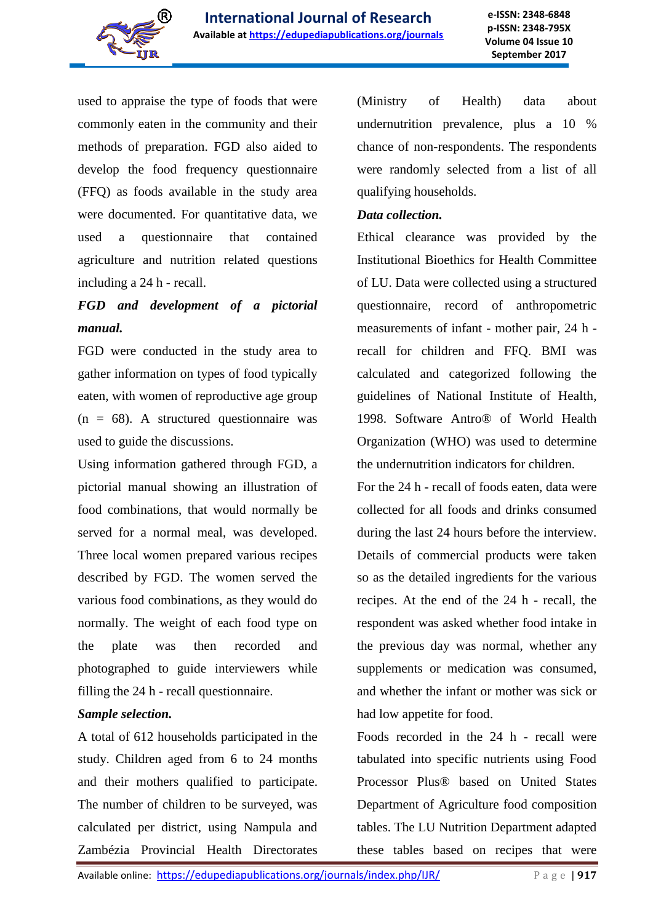

used to appraise the type of foods that were commonly eaten in the community and their methods of preparation. FGD also aided to develop the food frequency questionnaire (FFQ) as foods available in the study area were documented. For quantitative data, we used a questionnaire that contained agriculture and nutrition related questions including a 24 h - recall.

# *FGD and development of a pictorial manual.*

FGD were conducted in the study area to gather information on types of food typically eaten, with women of reproductive age group  $(n = 68)$ . A structured questionnaire was used to guide the discussions.

Using information gathered through FGD, a pictorial manual showing an illustration of food combinations, that would normally be served for a normal meal, was developed. Three local women prepared various recipes described by FGD. The women served the various food combinations, as they would do normally. The weight of each food type on the plate was then recorded and photographed to guide interviewers while filling the 24 h - recall questionnaire.

# *Sample selection.*

A total of 612 households participated in the study. Children aged from 6 to 24 months and their mothers qualified to participate. The number of children to be surveyed, was calculated per district, using Nampula and Zambézia Provincial Health Directorates (Ministry of Health) data about undernutrition prevalence, plus a 10 % chance of non-respondents. The respondents were randomly selected from a list of all qualifying households.

#### *Data collection.*

Ethical clearance was provided by the Institutional Bioethics for Health Committee of LU. Data were collected using a structured questionnaire, record of anthropometric measurements of infant - mother pair, 24 h recall for children and FFQ. BMI was calculated and categorized following the guidelines of National Institute of Health, 1998. Software Antro® of World Health Organization (WHO) was used to determine the undernutrition indicators for children.

For the 24 h - recall of foods eaten, data were collected for all foods and drinks consumed during the last 24 hours before the interview. Details of commercial products were taken so as the detailed ingredients for the various recipes. At the end of the 24 h - recall, the respondent was asked whether food intake in the previous day was normal, whether any supplements or medication was consumed, and whether the infant or mother was sick or had low appetite for food.

Foods recorded in the 24 h - recall were tabulated into specific nutrients using Food Processor Plus® based on United States Department of Agriculture food composition tables. The LU Nutrition Department adapted these tables based on recipes that were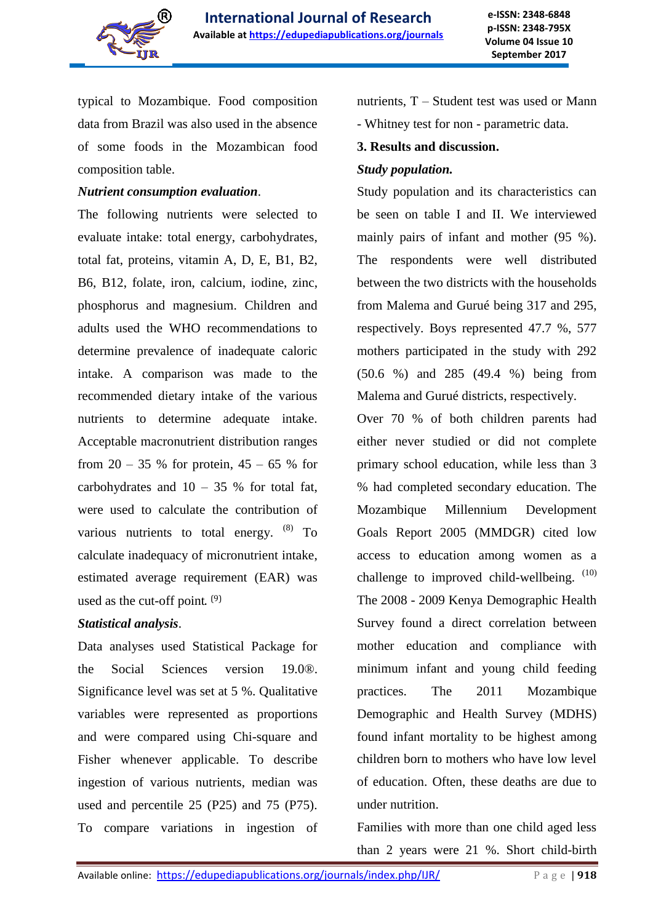

typical to Mozambique. Food composition data from Brazil was also used in the absence of some foods in the Mozambican food composition table.

#### *Nutrient consumption evaluation*.

The following nutrients were selected to evaluate intake: total energy, carbohydrates, total fat, proteins, vitamin A, D, E, B1, B2, B6, B12, folate, iron, calcium, iodine, zinc, phosphorus and magnesium. Children and adults used the WHO recommendations to determine prevalence of inadequate caloric intake. A comparison was made to the recommended dietary intake of the various nutrients to determine adequate intake. Acceptable macronutrient distribution ranges from  $20 - 35$  % for protein,  $45 - 65$  % for carbohydrates and  $10 - 35$  % for total fat, were used to calculate the contribution of various nutrients to total energy.  $(8)$  To calculate inadequacy of micronutrient intake, estimated average requirement (EAR) was used as the cut-off point. <sup>(9)</sup>

# *Statistical analysis*.

Data analyses used Statistical Package for the Social Sciences version 19.0®. Significance level was set at 5 %. Qualitative variables were represented as proportions and were compared using Chi-square and Fisher whenever applicable. To describe ingestion of various nutrients, median was used and percentile 25 (P25) and 75 (P75). To compare variations in ingestion of nutrients, T – Student test was used or Mann

- Whitney test for non - parametric data.

# **3. Results and discussion.**

# *Study population.*

Study population and its characteristics can be seen on table I and II. We interviewed mainly pairs of infant and mother (95 %). The respondents were well distributed between the two districts with the households from Malema and Gurué being 317 and 295, respectively. Boys represented 47.7 %, 577 mothers participated in the study with 292 (50.6 %) and 285 (49.4 %) being from Malema and Gurué districts, respectively.

Over 70 % of both children parents had either never studied or did not complete primary school education, while less than 3 % had completed secondary education. The Mozambique Millennium Development Goals Report 2005 (MMDGR) cited low access to education among women as a challenge to improved child-wellbeing.  $(10)$ The 2008 - 2009 Kenya Demographic Health Survey found a direct correlation between mother education and compliance with minimum infant and young child feeding practices. The 2011 Mozambique Demographic and Health Survey (MDHS) found infant mortality to be highest among children born to mothers who have low level of education. Often, these deaths are due to under nutrition.

Families with more than one child aged less than 2 years were 21 %. Short child-birth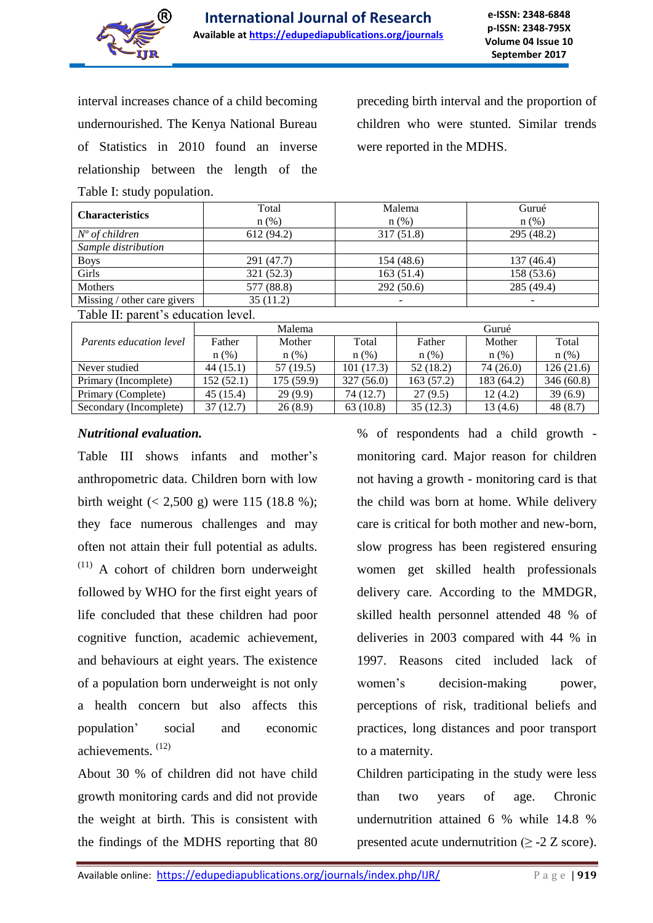

interval increases chance of a child becoming undernourished. The Kenya National Bureau of Statistics in 2010 found an inverse relationship between the length of the Table I: study population.

preceding birth interval and the proportion of children who were stunted. Similar trends were reported in the MDHS.

| <b>Characteristics</b>              | Total<br>$n$ (%) | Malema<br>$n$ (%) | Gurué<br>$n$ (%) |  |  |  |  |  |  |
|-------------------------------------|------------------|-------------------|------------------|--|--|--|--|--|--|
| $No$ of children                    | 612 (94.2)       | 317(51.8)         | 295 (48.2)       |  |  |  |  |  |  |
| Sample distribution                 |                  |                   |                  |  |  |  |  |  |  |
| <b>Boys</b>                         | 291 (47.7)       | 154 (48.6)        | 137 (46.4)       |  |  |  |  |  |  |
| Girls                               | 321(52.3)        | 163(51.4)         | 158 (53.6)       |  |  |  |  |  |  |
| Mothers                             | 577 (88.8)       | 292(50.6)         | 285 (49.4)       |  |  |  |  |  |  |
| Missing / other care givers         | 35(11.2)         |                   |                  |  |  |  |  |  |  |
| Table II: parent's education level. |                  |                   |                  |  |  |  |  |  |  |

|                                |            | Malema     |            | Gurué      |            |           |  |
|--------------------------------|------------|------------|------------|------------|------------|-----------|--|
| <i>Parents education level</i> | Father     | Mother     | Total      | Father     | Mother     | Total     |  |
|                                | $n$ (%)    | $n$ (%)    | $n$ (%)    | $n$ (%)    | $n$ (%)    | $n(\%)$   |  |
| Never studied                  | 44 (15.1)  | 57 (19.5)  | 101 (17.3) | 52(18.2)   | 74 (26.0)  | 126(21.6) |  |
| Primary (Incomplete)           | 152 (52.1) | 175 (59.9) | 327(56.0)  | 163 (57.2) | 183 (64.2) | 346(60.8) |  |
| Primary (Complete)             | 45 (15.4)  | 29(9.9)    | 74 (12.7)  | 27(9.5)    | 12(4.2)    | 39(6.9)   |  |
| Secondary (Incomplete)         | 37(12.7)   | 26(8.9)    | 63(10.8)   | 35(12.3)   | 13 (4.6)   | 48(8.7)   |  |

# *Nutritional evaluation.*

Table III shows infants and mother's anthropometric data. Children born with low birth weight  $(< 2,500 \text{ g})$  were 115 (18.8 %); they face numerous challenges and may often not attain their full potential as adults.  $(11)$  A cohort of children born underweight followed by WHO for the first eight years of life concluded that these children had poor cognitive function, academic achievement, and behaviours at eight years. The existence of a population born underweight is not only a health concern but also affects this population' social and economic achievements. (12)

About 30 % of children did not have child growth monitoring cards and did not provide the weight at birth. This is consistent with the findings of the MDHS reporting that 80

% of respondents had a child growth monitoring card. Major reason for children not having a growth - monitoring card is that the child was born at home. While delivery care is critical for both mother and new-born, slow progress has been registered ensuring women get skilled health professionals delivery care. According to the MMDGR, skilled health personnel attended 48 % of deliveries in 2003 compared with 44 % in 1997. Reasons cited included lack of women's decision-making power, perceptions of risk, traditional beliefs and practices, long distances and poor transport to a maternity.

Children participating in the study were less than two years of age. Chronic undernutrition attained 6 % while 14.8 % presented acute undernutrition ( $\geq$  -2 Z score).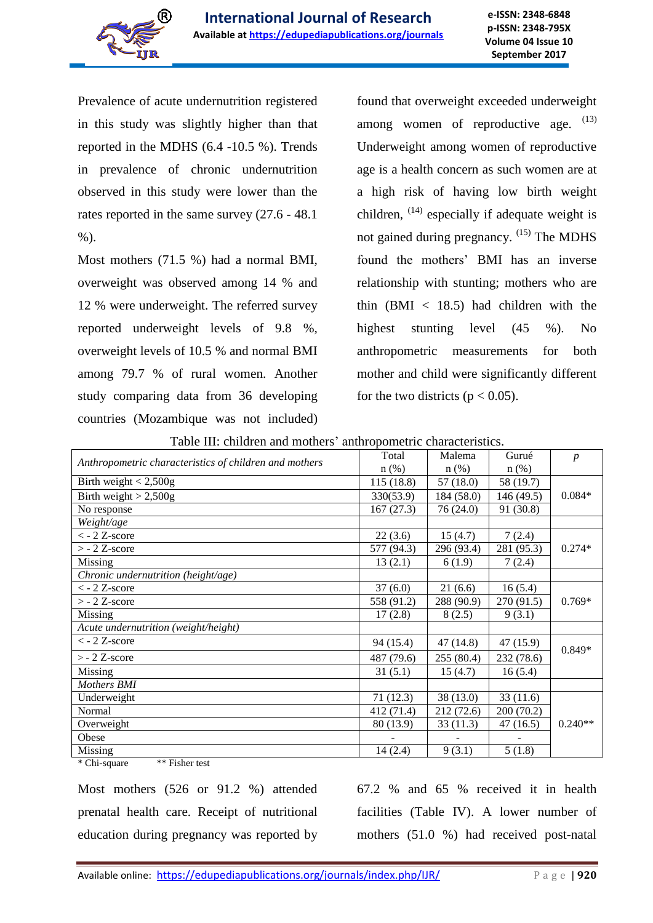

Prevalence of acute undernutrition registered in this study was slightly higher than that reported in the MDHS (6.4 -10.5 %). Trends in prevalence of chronic undernutrition observed in this study were lower than the rates reported in the same survey (27.6 - 48.1  $%$ ).

Most mothers (71.5 %) had a normal BMI, overweight was observed among 14 % and 12 % were underweight. The referred survey reported underweight levels of 9.8 %, overweight levels of 10.5 % and normal BMI among 79.7 % of rural women. Another study comparing data from 36 developing countries (Mozambique was not included)

found that overweight exceeded underweight among women of reproductive age. (13) Underweight among women of reproductive age is a health concern as such women are at a high risk of having low birth weight children, <sup>(14)</sup> especially if adequate weight is not gained during pregnancy. <sup>(15)</sup> The MDHS found the mothers' BMI has an inverse relationship with stunting; mothers who are thin  $(BMI < 18.5)$  had children with the highest stunting level (45 %). No anthropometric measurements for both mother and child were significantly different for the two districts ( $p < 0.05$ ).

Table III: children and mothers' anthropometric characteristics.

| Anthropometric characteristics of children and mothers | Total      | Malema     | Gurué      | $\boldsymbol{p}$ |
|--------------------------------------------------------|------------|------------|------------|------------------|
|                                                        | $n$ $(\%)$ | $n(\%)$    | $n$ (%)    |                  |
| Birth weight $< 2,500g$                                | 115 (18.8) | 57 (18.0)  | 58 (19.7)  |                  |
| Birth weight $> 2,500g$                                | 330(53.9)  | 184 (58.0) | 146 (49.5) | $0.084*$         |
| No response                                            | 167(27.3)  | 76(24.0)   | 91 (30.8)  |                  |
| Weight/age                                             |            |            |            |                  |
| $<$ - 2 Z-score                                        | 22(3.6)    | 15(4.7)    | 7(2.4)     |                  |
| $>$ - 2 Z-score                                        | 577 (94.3) | 296 (93.4) | 281 (95.3) | $0.274*$         |
| Missing                                                | 13(2.1)    | 6(1.9)     | 7(2.4)     |                  |
| Chronic undernutrition (height/age)                    |            |            |            |                  |
| $\langle$ - 2 Z-score                                  | 37(6.0)    | 21(6.6)    | 16(5.4)    |                  |
| $>$ - 2 Z-score                                        | 558 (91.2) | 288 (90.9) | 270 (91.5) | $0.769*$         |
| Missing                                                | 17(2.8)    | 8(2.5)     | 9(3.1)     |                  |
| Acute undernutrition (weight/height)                   |            |            |            |                  |
| $\langle$ - 2 Z-score                                  | 94 (15.4)  | 47(14.8)   | 47 (15.9)  | $0.849*$         |
| $> -2$ Z-score                                         | 487 (79.6) | 255(80.4)  | 232 (78.6) |                  |
| Missing                                                | 31(5.1)    | 15(4.7)    | 16(5.4)    |                  |
| <b>Mothers BMI</b>                                     |            |            |            |                  |
| Underweight                                            | 71(12.3)   | 38 (13.0)  | 33(11.6)   |                  |
| Normal                                                 | 412 (71.4) | 212 (72.6) | 200(70.2)  |                  |
| Overweight                                             | 80 (13.9)  | 33(11.3)   | 47(16.5)   | $0.240**$        |
| Obese                                                  |            |            |            |                  |
| Missing                                                | 14(2.4)    | 9(3.1)     | 5(1.8)     |                  |

\* Chi-square \*\* Fisher test

Most mothers (526 or 91.2 %) attended prenatal health care. Receipt of nutritional education during pregnancy was reported by 67.2 % and 65 % received it in health facilities (Table IV). A lower number of mothers (51.0 %) had received post-natal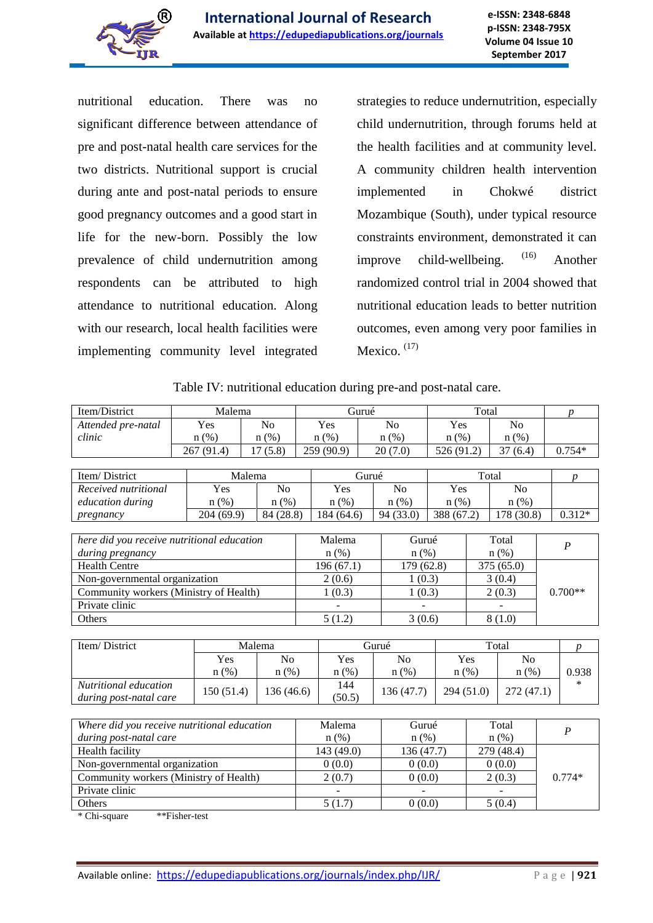

nutritional education. There was no significant difference between attendance of pre and post-natal health care services for the two districts. Nutritional support is crucial during ante and post-natal periods to ensure good pregnancy outcomes and a good start in life for the new-born. Possibly the low prevalence of child undernutrition among respondents can be attributed to high attendance to nutritional education. Along with our research, local health facilities were implementing community level integrated

strategies to reduce undernutrition, especially child undernutrition, through forums held at the health facilities and at community level. A community children health intervention implemented in Chokwé district Mozambique (South), under typical resource constraints environment, demonstrated it can improve child-wellbeing. <sup>(16)</sup> Another randomized control trial in 2004 showed that nutritional education leads to better nutrition outcomes, even among very poor families in Mexico.  $(17)$ 

|  | Table IV: nutritional education during pre-and post-natal care. |  |  |
|--|-----------------------------------------------------------------|--|--|
|  |                                                                 |  |  |

| Item/District                              | Malema     |                |                    | Gurué                   |                |                | Total      |                    |                  |  | $\boldsymbol{p}$ |
|--------------------------------------------|------------|----------------|--------------------|-------------------------|----------------|----------------|------------|--------------------|------------------|--|------------------|
| Attended pre-natal                         | Yes        | N <sub>o</sub> |                    | Yes                     | N <sub>o</sub> |                | Yes        |                    | N <sub>o</sub>   |  |                  |
| clinic                                     | $n$ (%)    | $n$ $(\%)$     |                    | $n$ (%)                 |                | $n$ (%)        | $n$ (%)    |                    | $n$ (%)          |  |                  |
|                                            | 267 (91.4) | 17(5.8)        |                    | 259 (90.9)              |                | 20(7.0)        | 526 (91.2) |                    | 37(6.4)          |  | $0.754*$         |
|                                            |            |                |                    |                         |                |                |            |                    |                  |  |                  |
| Item/District                              |            | Malema         |                    | Gurué                   |                |                |            | Total              |                  |  | D                |
| Received nutritional                       | Yes        | N <sub>o</sub> |                    | Yes                     |                | N <sub>0</sub> | Yes        |                    | N <sub>o</sub>   |  |                  |
| education during                           | $n$ (%)    | $n(\%)$        |                    | $n$ (%)                 |                | $n$ (%)        | $n$ (%)    |                    | $n$ (%)          |  |                  |
| pregnancy                                  | 204(69.9)  | 84 (28.8)      |                    | 184 (64.6)              |                | 94 (33.0)      | 388 (67.2) |                    | 178 (30.8)       |  | $0.312*$         |
|                                            |            |                |                    |                         |                |                |            |                    |                  |  |                  |
| here did you receive nutritional education |            |                | Malema<br>Gurué    |                         | Total          |                |            |                    | $\boldsymbol{P}$ |  |                  |
| during pregnancy                           |            |                | $n$ (%)<br>$n$ (%) |                         | $n$ (%)        |                |            |                    |                  |  |                  |
| <b>Health Centre</b>                       |            |                |                    | 196(67.1)<br>179 (62.8) |                |                |            | 375 (65.0)         |                  |  |                  |
| Non-governmental organization              |            |                | 2(0.6)<br>1(0.3)   |                         |                |                | 3(0.4)     |                    |                  |  |                  |
| Community workers (Ministry of Health)     |            |                | 1(0.3)<br>1(0.3)   |                         |                |                | 2(0.3)     |                    | $0.700**$        |  |                  |
| Private clinic                             |            |                |                    |                         |                |                |            |                    |                  |  |                  |
| Others                                     |            |                |                    | 5(1.2)                  |                | 3(0.6)         |            |                    | 8(1.0)           |  |                  |
|                                            |            |                |                    |                         |                |                |            |                    |                  |  |                  |
| Item/District                              |            | Malema         |                    | Gurué                   |                |                |            |                    | Total            |  | D                |
|                                            | Yes        | N <sub>0</sub> |                    | Yes                     |                | N <sub>o</sub> |            | Yes                | N <sub>o</sub>   |  |                  |
|                                            | $n$ (%)    | $n$ (%)        |                    | $n(\%)$                 |                | $n$ (%)        |            | $n$ (%)<br>$n$ (%) |                  |  | 0.938            |
| Nutritional education                      | 150 (51.4) | 136 (46.6)     |                    | 144<br>$2F \cap F$      |                | 136 (47.7)     |            | 294 (51.0)         | 272 (47.1)       |  | *                |

| Where did you receive nutritional education | Malema    | Gurué      | Total      | P        |
|---------------------------------------------|-----------|------------|------------|----------|
| during post-natal care                      | $n$ (%)   | $n$ (%)    | $n(\%)$    |          |
| Health facility                             | 143(49.0) | 136 (47.7) | 279 (48.4) |          |
| Non-governmental organization               | 0(0.0)    | 0(0.0)     | 0(0.0)     |          |
| Community workers (Ministry of Health)      | 2(0.7)    | 0(0.0)     | 2(0.3)     | $0.774*$ |
| Private clinic                              |           |            |            |          |
| Others                                      | 5(1.7)    | 0(0.0)     | 5(0.4)     |          |

\* Chi-square \*\*Fisher-test

*during post-natal care*  $130 (31.4) 130 (40.0) (50.5)$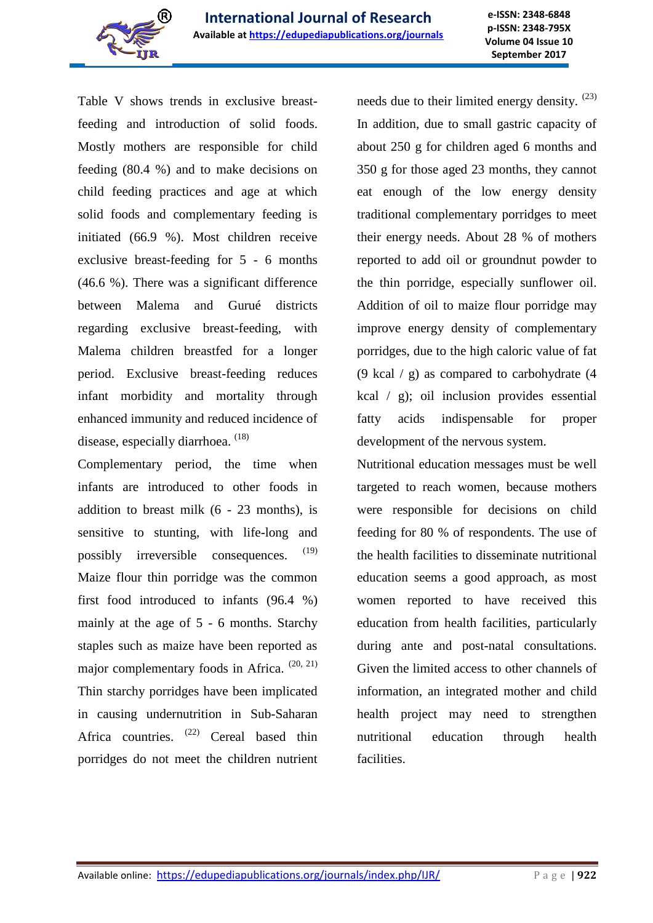

Table V shows trends in exclusive breastfeeding and introduction of solid foods. Mostly mothers are responsible for child feeding (80.4 %) and to make decisions on child feeding practices and age at which solid foods and complementary feeding is initiated (66.9 %). Most children receive exclusive breast-feeding for 5 - 6 months (46.6 %). There was a significant difference between Malema and Gurué districts regarding exclusive breast-feeding, with Malema children breastfed for a longer period. Exclusive breast-feeding reduces infant morbidity and mortality through enhanced immunity and reduced incidence of disease, especially diarrhoea. <sup>(18)</sup>

Complementary period, the time when infants are introduced to other foods in addition to breast milk  $(6 - 23$  months), is sensitive to stunting, with life-long and possibly irreversible consequences. (19) Maize flour thin porridge was the common first food introduced to infants (96.4 %) mainly at the age of 5 - 6 months. Starchy staples such as maize have been reported as major complementary foods in Africa. (20, 21) Thin starchy porridges have been implicated in causing undernutrition in Sub-Saharan Africa countries.  $(22)$  Cereal based thin porridges do not meet the children nutrient needs due to their limited energy density.  $(23)$ In addition, due to small gastric capacity of about 250 g for children aged 6 months and 350 g for those aged 23 months, they cannot eat enough of the low energy density traditional complementary porridges to meet their energy needs. About 28 % of mothers reported to add oil or groundnut powder to the thin porridge, especially sunflower oil. Addition of oil to maize flour porridge may improve energy density of complementary porridges, due to the high caloric value of fat (9 kcal  $/$  g) as compared to carbohydrate (4 kcal / g); oil inclusion provides essential fatty acids indispensable for proper development of the nervous system.

Nutritional education messages must be well targeted to reach women, because mothers were responsible for decisions on child feeding for 80 % of respondents. The use of the health facilities to disseminate nutritional education seems a good approach, as most women reported to have received this education from health facilities, particularly during ante and post-natal consultations. Given the limited access to other channels of information, an integrated mother and child health project may need to strengthen nutritional education through health facilities.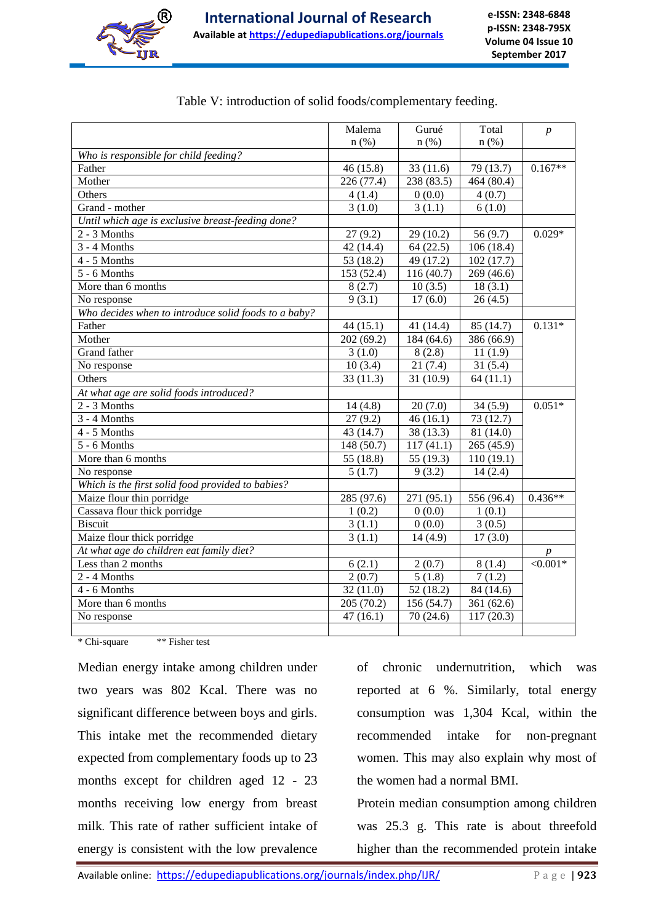

|                                                      | Malema     | Gurué      | Total      | $\boldsymbol{p}$ |
|------------------------------------------------------|------------|------------|------------|------------------|
|                                                      | $n$ (%)    | $n$ (%)    | $n$ (%)    |                  |
| Who is responsible for child feeding?                |            |            |            |                  |
| Father                                               | 46(15.8)   | 33(11.6)   | 79 (13.7)  | $0.167**$        |
| Mother                                               | 226 (77.4) | 238 (83.5) | 464 (80.4) |                  |
| Others                                               | 4(1.4)     | 0(0.0)     | 4(0.7)     |                  |
| Grand - mother                                       | 3(1.0)     | 3(1.1)     | 6(1.0)     |                  |
| Until which age is exclusive breast-feeding done?    |            |            |            |                  |
| $2 - 3$ Months                                       | 27(9.2)    | 29(10.2)   | 56(9.7)    | $0.029*$         |
| $3 - 4$ Months                                       | 42(14.4)   | 64(22.5)   | 106(18.4)  |                  |
| 4 - 5 Months                                         | 53 (18.2)  | 49 (17.2)  | 102(17.7)  |                  |
| 5 - 6 Months                                         | 153 (52.4) | 116 (40.7) | 269(46.6)  |                  |
| More than 6 months                                   | 8(2.7)     | 10(3.5)    | 18(3.1)    |                  |
| No response                                          | 9(3.1)     | 17(6.0)    | 26(4.5)    |                  |
| Who decides when to introduce solid foods to a baby? |            |            |            |                  |
| Father                                               | 44(15.1)   | 41 (14.4)  | 85 (14.7)  | $0.131*$         |
| Mother                                               | 202(69.2)  | 184 (64.6) | 386 (66.9) |                  |
| <b>Grand</b> father                                  | 3(1.0)     | 8(2.8)     | 11(1.9)    |                  |
| No response                                          | 10(3.4)    | 21(7.4)    | 31(5.4)    |                  |
| Others                                               | 33(11.3)   | 31 (10.9)  | 64(11.1)   |                  |
| At what age are solid foods introduced?              |            |            |            |                  |
| $2 - 3$ Months                                       | 14(4.8)    | 20(7.0)    | 34(5.9)    | $0.051*$         |
| $3 - 4$ Months                                       | 27(9.2)    | 46(16.1)   | 73 (12.7)  |                  |
| 4 - 5 Months                                         | 43 (14.7)  | 38 (13.3)  | 81 (14.0)  |                  |
| 5 - 6 Months                                         | 148(50.7)  | 117(41.1)  | 265 (45.9) |                  |
| More than 6 months                                   | 55 (18.8)  | 55 (19.3)  | 110(19.1)  |                  |
| No response                                          | 5(1.7)     | 9(3.2)     | 14(2.4)    |                  |
| Which is the first solid food provided to babies?    |            |            |            |                  |
| Maize flour thin porridge                            | 285 (97.6) | 271 (95.1) | 556 (96.4) | $0.436**$        |
| Cassava flour thick porridge                         | 1(0.2)     | 0(0.0)     | 1(0.1)     |                  |
| <b>Biscuit</b>                                       | 3(1.1)     | 0(0.0)     | 3(0.5)     |                  |
| Maize flour thick porridge                           | 3(1.1)     | 14(4.9)    | 17(3.0)    |                  |
| At what age do children eat family diet?             |            |            |            |                  |
| Less than 2 months                                   | 6(2.1)     | 2(0.7)     | 8(1.4)     | $\leq 0.001*$    |
| 2 - 4 Months                                         | 2(0.7)     | 5(1.8)     | 7(1.2)     |                  |
| 4 - 6 Months                                         | 32(11.0)   | 52(18.2)   | 84 (14.6)  |                  |
| More than 6 months                                   | 205(70.2)  | 156(54.7)  | 361(62.6)  |                  |
| No response                                          | 47(16.1)   | 70(24.6)   | 117(20.3)  |                  |
|                                                      |            |            |            |                  |

|  |  | Table V: introduction of solid foods/complementary feeding. |  |  |  |  |  |  |
|--|--|-------------------------------------------------------------|--|--|--|--|--|--|
|--|--|-------------------------------------------------------------|--|--|--|--|--|--|

\* Chi-square \*\* Fisher test

Median energy intake among children under two years was 802 Kcal. There was no significant difference between boys and girls. This intake met the recommended dietary expected from complementary foods up to 23 months except for children aged 12 - 23 months receiving low energy from breast milk. This rate of rather sufficient intake of energy is consistent with the low prevalence

of chronic undernutrition, which was reported at 6 %. Similarly, total energy consumption was 1,304 Kcal, within the recommended intake for non-pregnant women. This may also explain why most of the women had a normal BMI.

Protein median consumption among children was 25.3 g. This rate is about threefold higher than the recommended protein intake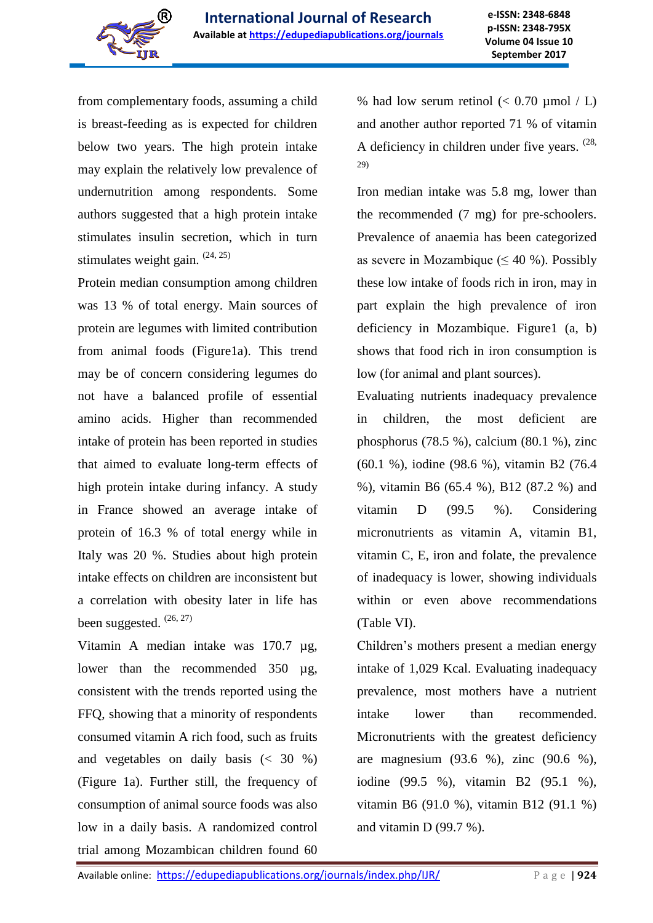

from complementary foods, assuming a child is breast-feeding as is expected for children below two years. The high protein intake may explain the relatively low prevalence of undernutrition among respondents. Some authors suggested that a high protein intake stimulates insulin secretion, which in turn stimulates weight gain. (24, 25)

Protein median consumption among children was 13 % of total energy. Main sources of protein are legumes with limited contribution from animal foods (Figure1a). This trend may be of concern considering legumes do not have a balanced profile of essential amino acids. Higher than recommended intake of protein has been reported in studies that aimed to evaluate long-term effects of high protein intake during infancy. A study in France showed an average intake of protein of 16.3 % of total energy while in Italy was 20 %. Studies about high protein intake effects on children are inconsistent but a correlation with obesity later in life has been suggested.  $(26, 27)$ 

Vitamin A median intake was 170.7 µg, lower than the recommended 350 µg, consistent with the trends reported using the FFQ, showing that a minority of respondents consumed vitamin A rich food, such as fruits and vegetables on daily basis  $\left( < 30 \degree\% \right)$ (Figure 1a). Further still, the frequency of consumption of animal source foods was also low in a daily basis. A randomized control trial among Mozambican children found 60 % had low serum retinol  $(< 0.70 \text{ \mu mol} / L)$ and another author reported 71 % of vitamin A deficiency in children under five years.  $(28, 12)$ 29)

Iron median intake was 5.8 mg, lower than the recommended (7 mg) for pre-schoolers. Prevalence of anaemia has been categorized as severe in Mozambique ( $\leq 40$  %). Possibly these low intake of foods rich in iron, may in part explain the high prevalence of iron deficiency in Mozambique. Figure1 (a, b) shows that food rich in iron consumption is low (for animal and plant sources).

Evaluating nutrients inadequacy prevalence in children, the most deficient are phosphorus (78.5 %), calcium (80.1 %), zinc (60.1 %), iodine (98.6 %), vitamin B2 (76.4 %), vitamin B6 (65.4 %), B12 (87.2 %) and vitamin D (99.5 %). Considering micronutrients as vitamin A, vitamin B1, vitamin C, E, iron and folate, the prevalence of inadequacy is lower, showing individuals within or even above recommendations (Table VI).

Children's mothers present a median energy intake of 1,029 Kcal. Evaluating inadequacy prevalence, most mothers have a nutrient intake lower than recommended. Micronutrients with the greatest deficiency are magnesium (93.6 %), zinc (90.6 %), iodine (99.5 %), vitamin B2 (95.1 %), vitamin B6 (91.0 %), vitamin B12 (91.1 %) and vitamin D (99.7 %).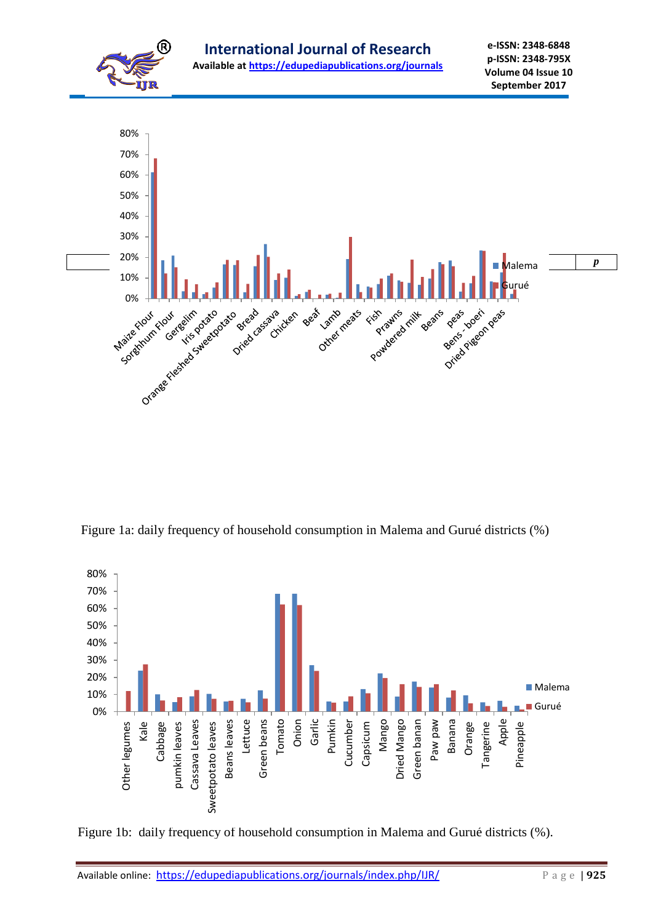

Figure 1a: daily frequency of household consumption in Malema and Gurué districts (%)



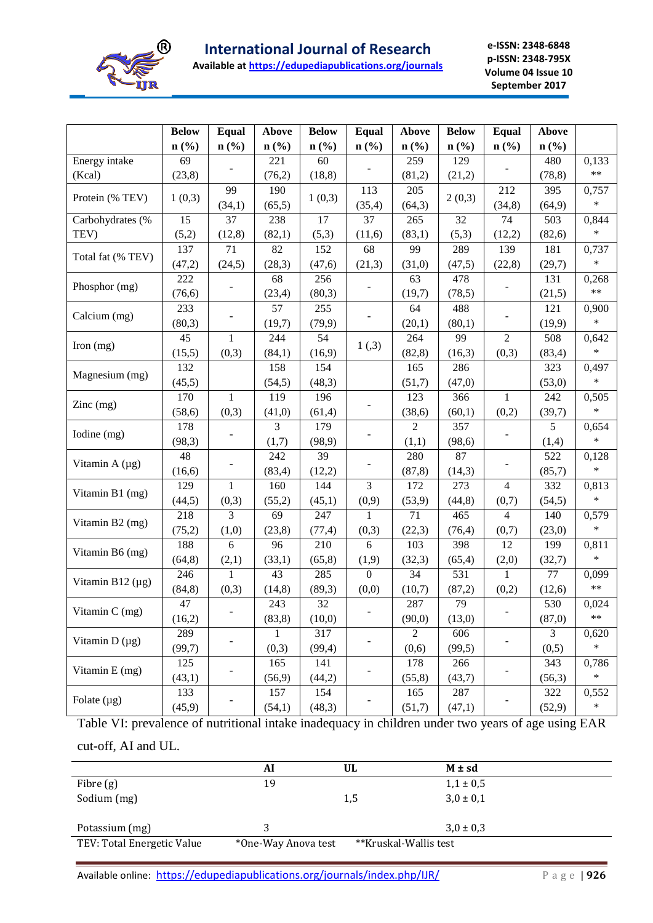

**Available at https://edupediapublications.org/journals**

**e-ISSN: 2348-6848 p-ISSN: 2348-795X Volume 04 Issue 10 September 2017**

|                            | <b>Below</b> | Equal                       | <b>Above</b>   | <b>Below</b>                | <b>Equal</b>                | Above            | <b>Below</b> | <b>Equal</b>   | Above                       |            |
|----------------------------|--------------|-----------------------------|----------------|-----------------------------|-----------------------------|------------------|--------------|----------------|-----------------------------|------------|
|                            | $n$ (%)      | $n\left(\frac{9}{6}\right)$ | $n$ (%)        | $n\left(\frac{0}{0}\right)$ | $n\left(\frac{9}{6}\right)$ | $\mathbf{n}(\%)$ | $n$ (%)      | $n$ (%)        | $n\left(\frac{0}{0}\right)$ |            |
| Energy intake              | 69           |                             | 221            | 60                          |                             | 259              | 129          |                | 480                         | 0,133      |
| (Kcal)                     | (23,8)       |                             | (76,2)         | (18, 8)                     |                             | (81,2)           | (21,2)       |                | (78, 8)                     | $***$      |
|                            |              | 99                          | 190            |                             | 113                         | 205              |              | 212            | 395                         | 0,757      |
| Protein (% TEV)            | 1(0,3)       | (34,1)                      | (65,5)         | 1(0,3)                      | (35,4)                      | (64,3)           | 2(0,3)       | (34, 8)        | (64, 9)                     | $\ast$     |
| Carbohydrates (%           | 15           | 37                          | 238            | 17                          | 37                          | 265              | 32           | 74             | 503                         | 0,844      |
| TEV)                       | (5,2)        | (12, 8)                     | (82,1)         | (5,3)                       | (11,6)                      | (83,1)           | (5,3)        | (12,2)         | (82,6)                      | $\ast$     |
| Total fat (% TEV)          | 137          | 71                          | 82             | 152                         | 68                          | 99               | 289          | 139            | 181                         | 0,737      |
|                            | (47,2)       | (24,5)                      | (28,3)         | (47,6)                      | (21,3)                      | (31,0)           | (47,5)       | (22,8)         | (29,7)                      | $\ast$     |
| Phosphor (mg)              | 222          |                             | 68             | 256                         |                             | 63               | 478          |                | 131                         | 0,268      |
|                            | (76, 6)      |                             | (23, 4)        | (80,3)                      |                             | (19,7)           | (78,5)       |                | (21,5)                      | $\ast\ast$ |
| Calcium (mg)               | 233          |                             | 57             | 255                         |                             | 64               | 488          |                | 121                         | 0,900      |
|                            | (80,3)       |                             | (19,7)         | (79, 9)                     |                             | (20,1)           | (80,1)       |                | (19,9)                      | $\ast$     |
| Iron (mg)                  | 45           | $\mathbf{1}$                | 244            | 54                          | 1(,3)                       | 264              | 99           | $\overline{2}$ | 508                         | 0,642      |
|                            | (15,5)       | (0,3)                       | (84,1)         | (16,9)                      |                             | (82, 8)          | (16,3)       | (0,3)          | (83,4)                      | $\ast$     |
| Magnesium (mg)             | 132          |                             | 158            | 154                         |                             | 165              | 286          |                | 323                         | 0,497      |
|                            | (45,5)       |                             | (54,5)         | (48,3)                      |                             | (51,7)           | (47,0)       |                | (53,0)                      | $\ast$     |
| $\text{Zinc} \text{ (mg)}$ | 170          | $\mathbf{1}$                | 119            | 196                         |                             | 123              | 366          | $\mathbf{1}$   | 242                         | 0,505      |
|                            | (58, 6)      | (0,3)                       | (41,0)         | (61,4)                      |                             | (38,6)           | (60,1)       | (0,2)          | (39,7)                      | $\ast$     |
| Iodine (mg)                | 178          |                             | $\overline{3}$ | 179                         |                             | $\overline{2}$   | 357          |                | 5                           | 0,654      |
|                            | (98,3)       |                             | (1,7)          | (98, 9)                     |                             | (1,1)            | (98, 6)      |                | (1,4)                       | $\ast$     |
| Vitamin A (µg)             | 48           |                             | 242            | 39                          |                             | 280              | 87           |                | 522                         | 0,128      |
|                            | (16,6)       |                             | (83, 4)        | (12,2)                      |                             | (87, 8)          | (14,3)       |                | (85,7)                      | $\ast$     |
| Vitamin B1 (mg)            | 129          | $\mathbf{1}$                | 160            | 144                         | $\overline{3}$              | 172              | 273          | $\overline{4}$ | 332                         | 0,813      |
|                            | (44,5)       | (0,3)                       | (55,2)         | (45,1)                      | (0,9)                       | (53,9)           | (44, 8)      | (0,7)          | (54,5)                      | $\ast$     |
| Vitamin B2 (mg)            | 218          | 3                           | 69             | 247                         | 1                           | 71               | 465          | $\overline{4}$ | 140                         | 0,579      |
|                            | (75,2)       | (1,0)                       | (23,8)         | (77, 4)                     | (0,3)                       | (22,3)           | (76, 4)      | (0,7)          | (23,0)                      | $\ast$     |
| Vitamin B6 (mg)            | 188          | 6                           | 96             | 210                         | 6                           | 103              | 398          | 12             | 199                         | 0,811      |
|                            | (64, 8)      | (2,1)                       | (33,1)         | (65, 8)                     | (1,9)                       | (32,3)           | (65,4)       | (2,0)          | (32,7)                      | $\ast$     |
| Vitamin B12 $(\mu g)$      | 246          | 1                           | 43             | 285                         | $\theta$                    | 34               | 531          | $\mathbf{1}$   | 77                          | 0,099      |
|                            | (84, 8)      | (0,3)                       | (14, 8)        | (89,3)                      | (0,0)                       | (10,7)           | (87,2)       | (0,2)          | (12,6)                      | $\ast\ast$ |
| Vitamin C (mg)             | 47           |                             | 243            | 32                          |                             | 287              | 79           |                | 530                         | 0,024      |
|                            | (16,2)       |                             | (83,8)         | (10,0)                      |                             | (90,0)           | (13,0)       |                | (87,0)                      | $\ast\ast$ |
| Vitamin $D(\mu g)$         | 289          |                             | 1              | 317                         |                             | $\overline{2}$   | 606          |                | 3                           | 0,620      |
|                            | (99,7)       |                             | (0,3)          | (99, 4)                     |                             | (0,6)            | (99,5)       |                | (0,5)                       | $\ast$     |
| Vitamin E (mg)             | 125          |                             | 165            | 141                         |                             | 178              | 266          |                | 343                         | 0,786      |
|                            | (43,1)       |                             | (56, 9)        | (44,2)                      |                             | (55,8)           | (43,7)       |                | (56,3)                      | $\ast$     |
| Folate $(\mu g)$           | 133          |                             | 157            | 154                         |                             | 165              | 287          |                | 322                         | 0,552      |
|                            | (45,9)       |                             | (54,1)         | (48,3)                      |                             | (51,7)           | (47,1)       |                | (52,9)                      | $\ast$     |

Table VI: prevalence of nutritional intake inadequacy in children under two years of age using EAR cut-off, AI and UL.

|                            | Al                  | UL                    | $M \pm sd$    |
|----------------------------|---------------------|-----------------------|---------------|
| Fibre $(g)$                | 19                  |                       | $1,1 \pm 0,5$ |
| Sodium (mg)                |                     | 1,5                   | $3,0 \pm 0,1$ |
| Potassium (mg)             |                     |                       | $3,0 \pm 0,3$ |
| TEV: Total Energetic Value | *One-Way Anova test | **Kruskal-Wallis test |               |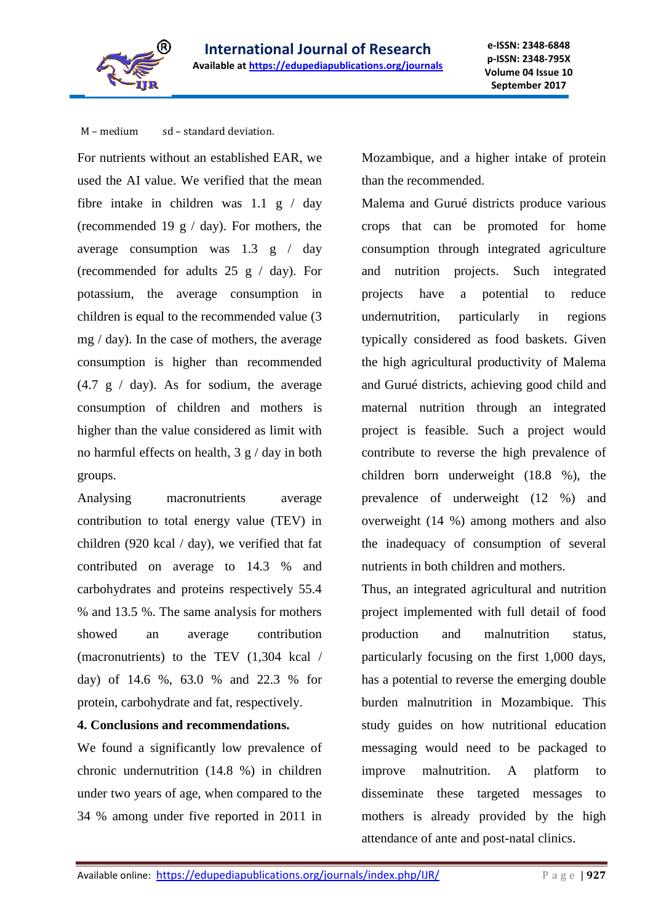

M – medium sd – standard deviation.

For nutrients without an established EAR, we used the AI value. We verified that the mean fibre intake in children was 1.1 g / day (recommended 19  $g / day$ ). For mothers, the average consumption was 1.3 g / day (recommended for adults 25 g / day). For potassium, the average consumption in children is equal to the recommended value (3 mg / day). In the case of mothers, the average consumption is higher than recommended  $(4.7 \text{ g} / \text{day})$ . As for sodium, the average consumption of children and mothers is higher than the value considered as limit with no harmful effects on health,  $3 g / day$  in both groups.

Analysing macronutrients average contribution to total energy value (TEV) in children (920 kcal / day), we verified that fat contributed on average to 14.3 % and carbohydrates and proteins respectively 55.4 % and 13.5 %. The same analysis for mothers showed an average contribution (macronutrients) to the TEV (1,304 kcal / day) of 14.6 %, 63.0 % and 22.3 % for protein, carbohydrate and fat, respectively.

**4. Conclusions and recommendations.**

We found a significantly low prevalence of chronic undernutrition (14.8 %) in children under two years of age, when compared to the 34 % among under five reported in 2011 in

Mozambique, and a higher intake of protein than the recommended.

Malema and Gurué districts produce various crops that can be promoted for home consumption through integrated agriculture and nutrition projects. Such integrated projects have a potential to reduce undernutrition, particularly in regions typically considered as food baskets. Given the high agricultural productivity of Malema and Gurué districts, achieving good child and maternal nutrition through an integrated project is feasible. Such a project would contribute to reverse the high prevalence of children born underweight (18.8 %), the prevalence of underweight (12 %) and overweight (14 %) among mothers and also the inadequacy of consumption of several nutrients in both children and mothers.

Thus, an integrated agricultural and nutrition project implemented with full detail of food production and malnutrition status, particularly focusing on the first 1,000 days, has a potential to reverse the emerging double burden malnutrition in Mozambique. This study guides on how nutritional education messaging would need to be packaged to improve malnutrition. A platform to disseminate these targeted messages to mothers is already provided by the high attendance of ante and post-natal clinics.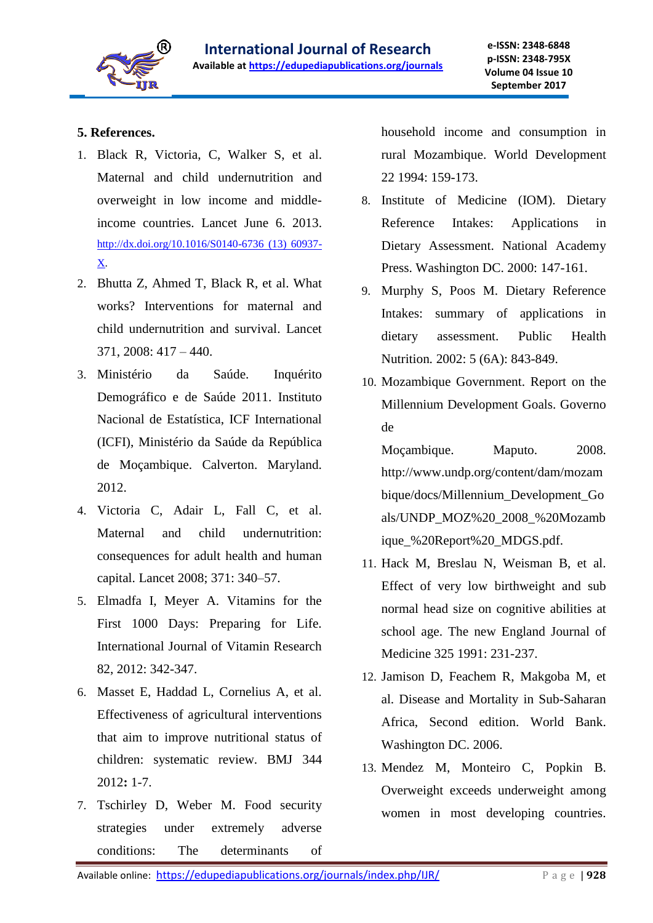

# **5. References.**

- 1. Black R, Victoria, C, Walker S, et al. Maternal and child undernutrition and overweight in low income and middleincome countries. Lancet June 6. 2013. http://dx.doi.org/10.1016/S0140-6736 (13) 60937- X.
- 2. Bhutta Z, Ahmed T, Black R, et al. What works? Interventions for maternal and child undernutrition and survival. Lancet 371, 2008: 417 – 440.
- 3. Ministério da Saúde. Inquérito Demográfico e de Saúde 2011. Instituto Nacional de Estatística, ICF International (ICFI), Ministério da Saúde da República de Moçambique. Calverton. Maryland. 2012.
- 4. Victoria C, Adair L, Fall C, et al. Maternal and child undernutrition: consequences for adult health and human capital. Lancet 2008; 371: 340–57.
- 5. Elmadfa I, Meyer A. Vitamins for the First 1000 Days: Preparing for Life. International Journal of Vitamin Research 82, 2012: 342-347.
- 6. Masset E, Haddad L, Cornelius A, et al. Effectiveness of agricultural interventions that aim to improve nutritional status of children: systematic review. BMJ 344 2012**:** 1-7.
- 7. Tschirley D, Weber M. Food security strategies under extremely adverse conditions: The determinants of

household income and consumption in rural Mozambique. World Development 22 1994: 159-173.

- 8. Institute of Medicine (IOM). Dietary Reference Intakes: Applications in Dietary Assessment. National Academy Press. Washington DC. 2000: 147-161.
- 9. Murphy S, Poos M. Dietary Reference Intakes: summary of applications in dietary assessment. Public Health Nutrition*.* 2002: 5 (6A): 843-849.
- 10. Mozambique Government. Report on the Millennium Development Goals. Governo de

Moçambique. Maputo. 2008. http://www.undp.org/content/dam/mozam bique/docs/Millennium\_Development\_Go als/UNDP\_MOZ%20\_2008\_%20Mozamb ique\_%20Report%20\_MDGS.pdf.

- 11. Hack M, Breslau N, Weisman B, et al. Effect of very low birthweight and sub normal head size on cognitive abilities at school age. The new England Journal of Medicine 325 1991: 231-237.
- 12. Jamison D, Feachem R, Makgoba M, et al. Disease and Mortality in Sub-Saharan Africa, Second edition. World Bank. Washington DC. 2006.
- 13. Mendez M, Monteiro C, Popkin B. Overweight exceeds underweight among women in most developing countries.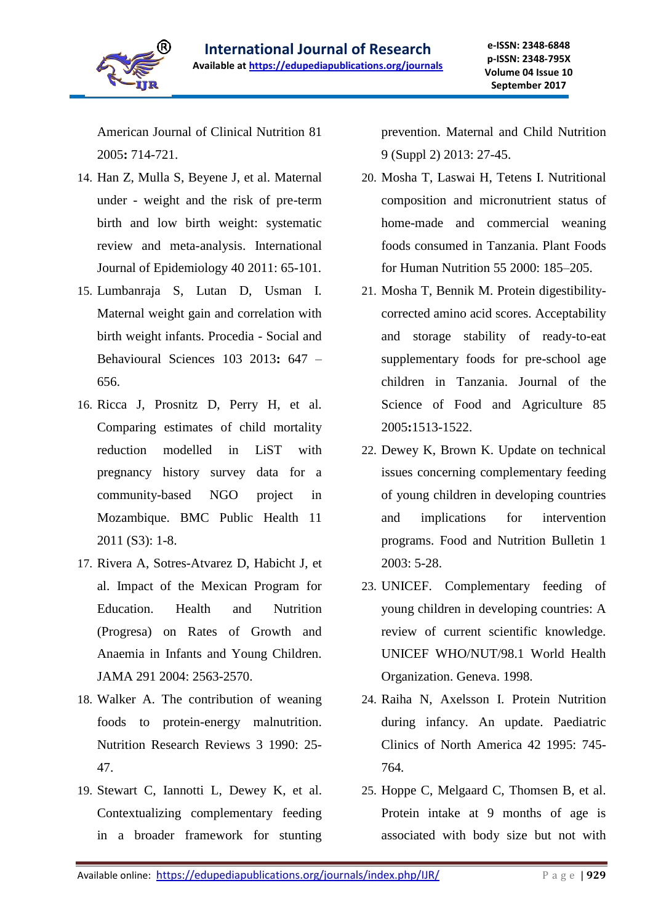

American Journal of Clinical Nutrition 81 2005**:** 714-721.

- 14. Han Z, Mulla S, Beyene J, et al. Maternal under - weight and the risk of pre-term birth and low birth weight: systematic review and meta-analysis. International Journal of Epidemiology 40 2011: 65-101.
- 15. Lumbanraja S, Lutan D, Usman I. Maternal weight gain and correlation with birth weight infants. Procedia - Social and Behavioural Sciences 103 2013**:** 647 – 656.
- 16. Ricca J, Prosnitz D, Perry H, et al. Comparing estimates of child mortality reduction modelled in LiST with pregnancy history survey data for a community-based NGO project in Mozambique. BMC Public Health 11 2011 (S3): 1-8.
- 17. Rivera A, Sotres-Atvarez D, Habicht J, et al. Impact of the Mexican Program for Education. Health and Nutrition (Progresa) on Rates of Growth and Anaemia in Infants and Young Children. JAMA 291 2004: 2563-2570.
- 18. Walker A. The contribution of weaning foods to protein-energy malnutrition. Nutrition Research Reviews 3 1990: 25- 47.
- 19. Stewart C, Iannotti L, Dewey K, et al. Contextualizing complementary feeding in a broader framework for stunting

prevention. Maternal and Child Nutrition 9 (Suppl 2) 2013: 27-45.

- 20. Mosha T, Laswai H, Tetens I. Nutritional composition and micronutrient status of home-made and commercial weaning foods consumed in Tanzania. Plant Foods for Human Nutrition 55 2000: 185–205.
- 21. Mosha T, Bennik M. Protein digestibilitycorrected amino acid scores. Acceptability and storage stability of ready-to-eat supplementary foods for pre-school age children in Tanzania. Journal of the Science of Food and Agriculture 85 2005**:**1513-1522.
- 22. Dewey K, Brown K. Update on technical issues concerning complementary feeding of young children in developing countries and implications for intervention programs. Food and Nutrition Bulletin 1 2003: 5-28.
- 23. UNICEF. Complementary feeding of young children in developing countries: A review of current scientific knowledge. UNICEF WHO/NUT/98.1 World Health Organization. Geneva. 1998.
- 24. Raiha N, Axelsson I. Protein Nutrition during infancy. An update. Paediatric Clinics of North America 42 1995: 745- 764*.*
- 25. Hoppe C, Melgaard C, Thomsen B, et al. Protein intake at 9 months of age is associated with body size but not with